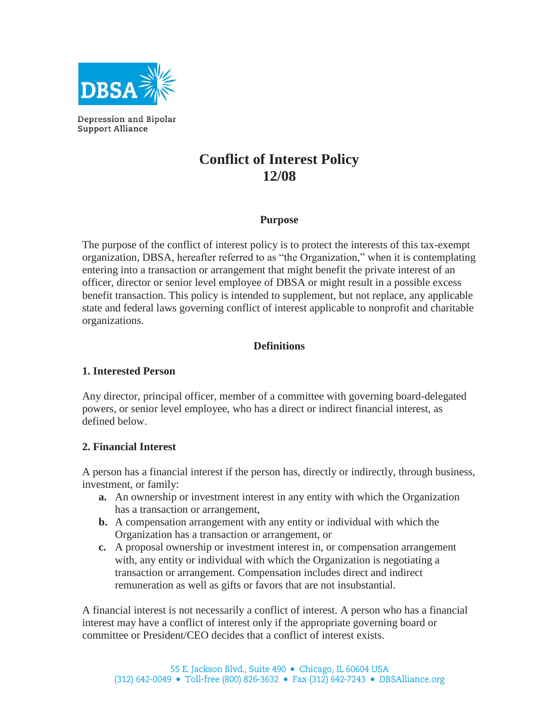

Depression and Bipolar **Support Alliance** 

# **Conflict of Interest Policy 12/08**

#### **Purpose**

The purpose of the conflict of interest policy is to protect the interests of this tax-exempt organization, DBSA, hereafter referred to as "the Organization," when it is contemplating entering into a transaction or arrangement that might benefit the private interest of an officer, director or senior level employee of DBSA or might result in a possible excess benefit transaction. This policy is intended to supplement, but not replace, any applicable state and federal laws governing conflict of interest applicable to nonprofit and charitable organizations.

## **Definitions**

### **1. Interested Person**

Any director, principal officer, member of a committee with governing board-delegated powers, or senior level employee, who has a direct or indirect financial interest, as defined below.

### **2. Financial Interest**

A person has a financial interest if the person has, directly or indirectly, through business, investment, or family:

- **a.** An ownership or investment interest in any entity with which the Organization has a transaction or arrangement,
- **b.** A compensation arrangement with any entity or individual with which the Organization has a transaction or arrangement, or
- **c.** A proposal ownership or investment interest in, or compensation arrangement with, any entity or individual with which the Organization is negotiating a transaction or arrangement. Compensation includes direct and indirect remuneration as well as gifts or favors that are not insubstantial.

A financial interest is not necessarily a conflict of interest. A person who has a financial interest may have a conflict of interest only if the appropriate governing board or committee or President/CEO decides that a conflict of interest exists.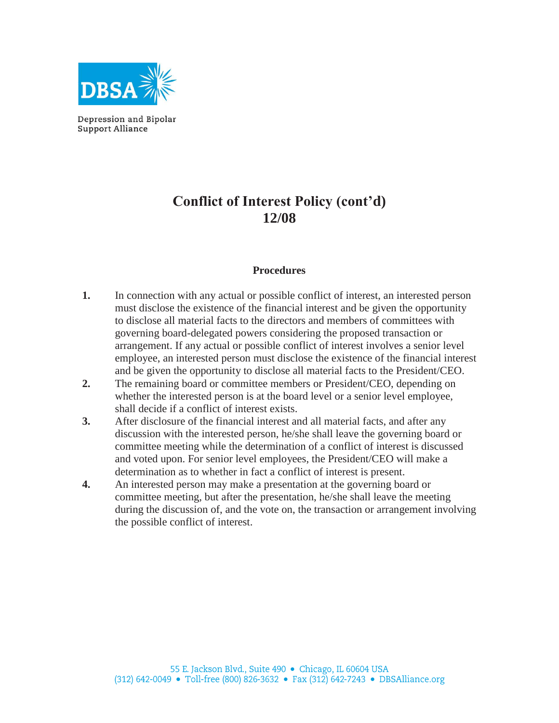

Depression and Bipolar **Support Alliance** 

## **Conflict of Interest Policy (cont'd) 12/08**

#### **Procedures**

- **1.** In connection with any actual or possible conflict of interest, an interested person must disclose the existence of the financial interest and be given the opportunity to disclose all material facts to the directors and members of committees with governing board-delegated powers considering the proposed transaction or arrangement. If any actual or possible conflict of interest involves a senior level employee, an interested person must disclose the existence of the financial interest and be given the opportunity to disclose all material facts to the President/CEO.
- **2.** The remaining board or committee members or President/CEO, depending on whether the interested person is at the board level or a senior level employee, shall decide if a conflict of interest exists.
- **3.** After disclosure of the financial interest and all material facts, and after any discussion with the interested person, he/she shall leave the governing board or committee meeting while the determination of a conflict of interest is discussed and voted upon. For senior level employees, the President/CEO will make a determination as to whether in fact a conflict of interest is present.
- **4.** An interested person may make a presentation at the governing board or committee meeting, but after the presentation, he/she shall leave the meeting during the discussion of, and the vote on, the transaction or arrangement involving the possible conflict of interest.